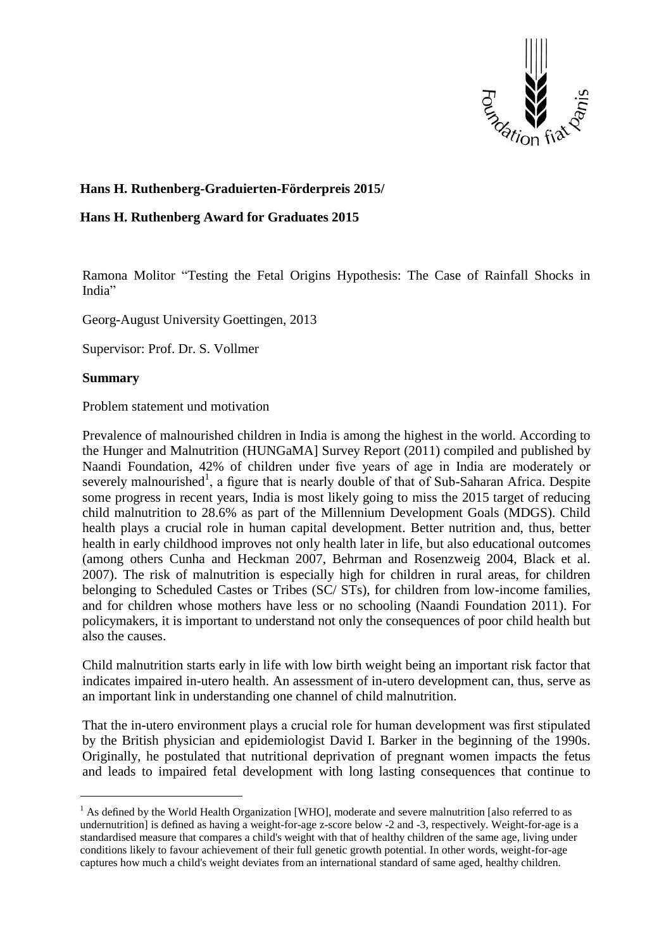

# **Hans H. Ruthenberg-Graduierten-Förderpreis 2015/**

## **Hans H. Ruthenberg Award for Graduates 2015**

Ramona Molitor "Testing the Fetal Origins Hypothesis: The Case of Rainfall Shocks in India"

Georg-August University Goettingen, 2013

Supervisor: Prof. Dr. S. Vollmer

### **Summary**

 $\overline{a}$ 

Problem statement und motivation

Prevalence of malnourished children in India is among the highest in the world. According to the Hunger and Malnutrition (HUNGaMA] Survey Report (2011) compiled and published by Naandi Foundation, 42% of children under five years of age in India are moderately or severely malnourished<sup>1</sup>, a figure that is nearly double of that of Sub-Saharan Africa. Despite some progress in recent years, India is most likely going to miss the 2015 target of reducing child malnutrition to 28.6% as part of the Millennium Development Goals (MDGS). Child health plays a crucial role in human capital development. Better nutrition and, thus, better health in early childhood improves not only health later in life, but also educational outcomes (among others Cunha and Heckman 2007, Behrman and Rosenzweig 2004, Black et al. 2007). The risk of malnutrition is especially high for children in rural areas, for children belonging to Scheduled Castes or Tribes (SC/ STs), for children from low-income families, and for children whose mothers have less or no schooling (Naandi Foundation 2011). For policymakers, it is important to understand not only the consequences of poor child health but also the causes.

Child malnutrition starts early in life with low birth weight being an important risk factor that indicates impaired in-utero health. An assessment of in-utero development can, thus, serve as an important link in understanding one channel of child malnutrition.

That the in-utero environment plays a crucial role for human development was first stipulated by the British physician and epidemiologist David I. Barker in the beginning of the 1990s. Originally, he postulated that nutritional deprivation of pregnant women impacts the fetus and leads to impaired fetal development with long lasting consequences that continue to

 $<sup>1</sup>$  As defined by the World Health Organization [WHO], moderate and severe malnutrition [also referred to as</sup> undernutrition] is defined as having a weight-for-age z-score below -2 and -3, respectively. Weight-for-age is a standardised measure that compares a child's weight with that of healthy children of the same age, living under conditions likely to favour achievement of their full genetic growth potential. In other words, weight-for-age captures how much a child's weight deviates from an international standard of same aged, healthy children.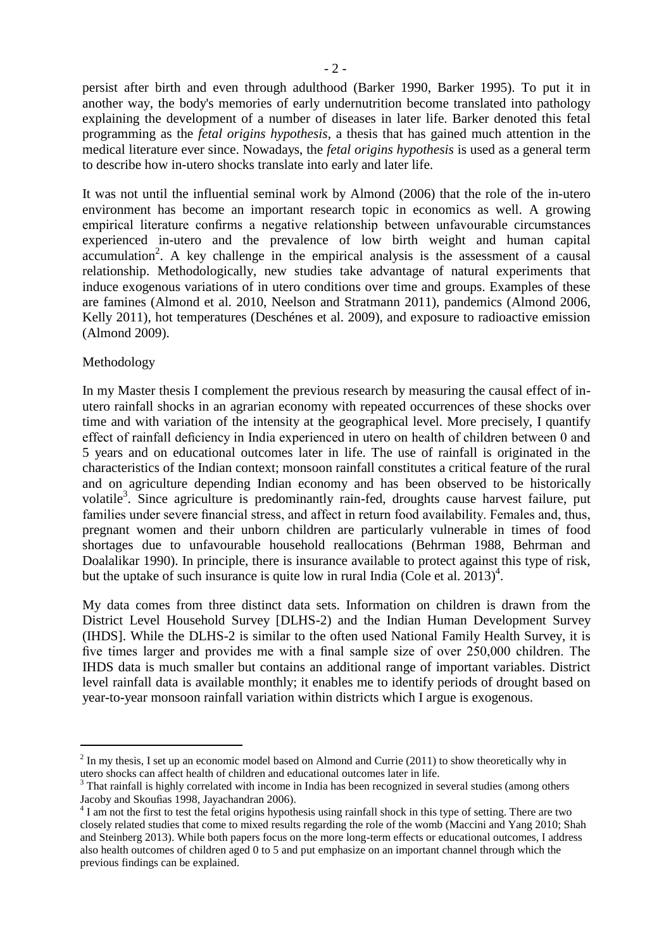persist after birth and even through adulthood (Barker 1990, Barker 1995). To put it in another way, the body's memories of early undernutrition become translated into pathology explaining the development of a number of diseases in later life. Barker denoted this fetal programming as the *fetal origins hypothesis*, a thesis that has gained much attention in the medical literature ever since. Nowadays, the *fetal origins hypothesis* is used as a general term to describe how in-utero shocks translate into early and later life.

It was not until the influential seminal work by Almond (2006) that the role of the in-utero environment has become an important research topic in economics as well. A growing empirical literature confirms a negative relationship between unfavourable circumstances experienced in-utero and the prevalence of low birth weight and human capital  $accumulation<sup>2</sup>$ . A key challenge in the empirical analysis is the assessment of a causal relationship. Methodologically, new studies take advantage of natural experiments that induce exogenous variations of in utero conditions over time and groups. Examples of these are famines (Almond et al. 2010, Neelson and Stratmann 2011), pandemics (Almond 2006, Kelly 2011), hot temperatures (Deschénes et al. 2009), and exposure to radioactive emission (Almond 2009).

## Methodology

 $\overline{a}$ 

In my Master thesis I complement the previous research by measuring the causal effect of inutero rainfall shocks in an agrarian economy with repeated occurrences of these shocks over time and with variation of the intensity at the geographical level. More precisely, I quantify effect of rainfall deficiency in India experienced in utero on health of children between 0 and 5 years and on educational outcomes later in life. The use of rainfall is originated in the characteristics of the Indian context; monsoon rainfall constitutes a critical feature of the rural and on agriculture depending Indian economy and has been observed to be historically volatile<sup>3</sup>. Since agriculture is predominantly rain-fed, droughts cause harvest failure, put families under severe financial stress, and affect in return food availability. Females and, thus, pregnant women and their unborn children are particularly vulnerable in times of food shortages due to unfavourable household reallocations (Behrman 1988, Behrman and Doalalikar 1990). In principle, there is insurance available to protect against this type of risk, but the uptake of such insurance is quite low in rural India (Cole et al.  $2013)^4$ .

My data comes from three distinct data sets. Information on children is drawn from the District Level Household Survey [DLHS-2) and the Indian Human Development Survey (IHDS]. While the DLHS-2 is similar to the often used National Family Health Survey, it is five times larger and provides me with a final sample size of over 250,000 children. The IHDS data is much smaller but contains an additional range of important variables. District level rainfall data is available monthly; it enables me to identify periods of drought based on year-to-year monsoon rainfall variation within districts which I argue is exogenous.

 $2 \text{ In }$  my thesis, I set up an economic model based on Almond and Currie (2011) to show theoretically why in utero shocks can affect health of children and educational outcomes later in life.

 $3$  That rainfall is highly correlated with income in India has been recognized in several studies (among others Jacoby and Skoufias 1998, Jayachandran 2006).

<sup>&</sup>lt;sup>4</sup> I am not the first to test the fetal origins hypothesis using rainfall shock in this type of setting. There are two closely related studies that come to mixed results regarding the role of the womb (Maccini and Yang 2010; Shah and Steinberg 2013). While both papers focus on the more long-term effects or educational outcomes, I address also health outcomes of children aged 0 to 5 and put emphasize on an important channel through which the previous findings can be explained.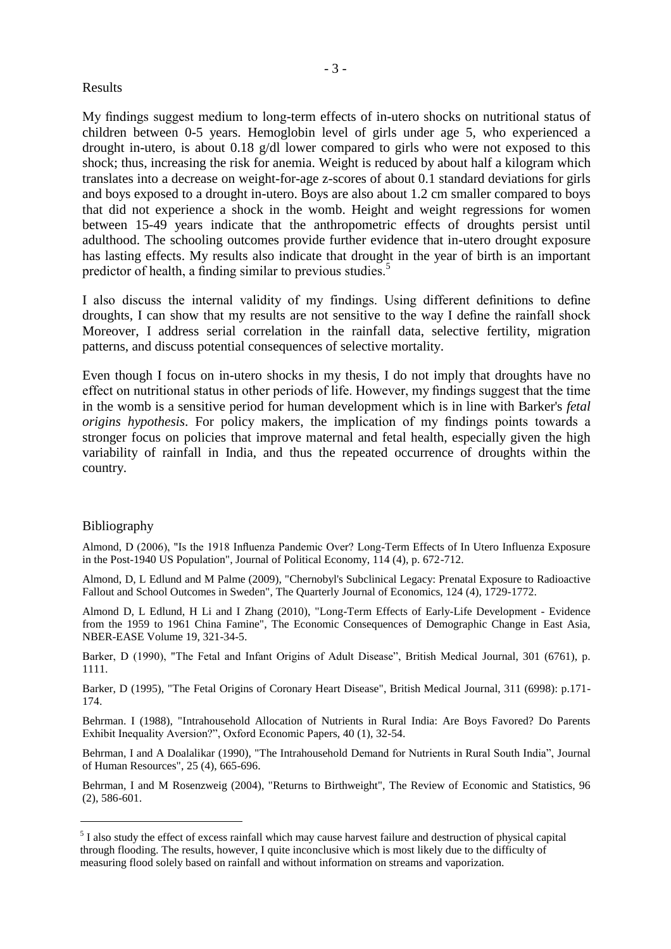#### Results

My findings suggest medium to long-term effects of in-utero shocks on nutritional status of children between 0-5 years. Hemoglobin level of girls under age 5, who experienced a drought in-utero, is about 0.18 g/dl lower compared to girls who were not exposed to this shock; thus, increasing the risk for anemia. Weight is reduced by about half a kilogram which translates into a decrease on weight-for-age z-scores of about 0.1 standard deviations for girls and boys exposed to a drought in-utero. Boys are also about 1.2 cm smaller compared to boys that did not experience a shock in the womb. Height and weight regressions for women between 15-49 years indicate that the anthropometric effects of droughts persist until adulthood. The schooling outcomes provide further evidence that in-utero drought exposure has lasting effects. My results also indicate that drought in the year of birth is an important predictor of health, a finding similar to previous studies.<sup>5</sup>

I also discuss the internal validity of my findings. Using different definitions to define droughts, I can show that my results are not sensitive to the way I define the rainfall shock Moreover, I address serial correlation in the rainfall data, selective fertility, migration patterns, and discuss potential consequences of selective mortality.

Even though I focus on in-utero shocks in my thesis, I do not imply that droughts have no effect on nutritional status in other periods of life. However, my findings suggest that the time in the womb is a sensitive period for human development which is in line with Barker's *fetal origins hypothesis*. For policy makers, the implication of my findings points towards a stronger focus on policies that improve maternal and fetal health, especially given the high variability of rainfall in India, and thus the repeated occurrence of droughts within the country.

#### Bibliography

 $\overline{a}$ 

Almond, D (2006), "Is the 1918 Influenza Pandemic Over? Long-Term Effects of In Utero Influenza Exposure in the Post-1940 US Population", Journal of Political Economy, 114 (4), p. 672-712.

Almond, D, L Edlund and M Palme (2009), "Chernobyl's Subclinical Legacy: Prenatal Exposure to Radioactive Fallout and School Outcomes in Sweden", The Quarterly Journal of Economics, 124 (4), 1729-1772.

Almond D, L Edlund, H Li and I Zhang (2010), "Long-Term Effects of Early-Life Development - Evidence from the 1959 to 1961 China Famine", The Economic Consequences of Demographic Change in East Asia, NBER-EASE Volume 19, 321-34-5.

Barker, D (1990), "The Fetal and Infant Origins of Adult Disease", British Medical Journal, 301 (6761), p. 1111.

Barker, D (1995), "The Fetal Origins of Coronary Heart Disease", British Medical Journal, 311 (6998): p.171- 174.

Behrman. I (1988), "Intrahousehold Allocation of Nutrients in Rural India: Are Boys Favored? Do Parents Exhibit Inequality Aversion?", Oxford Economic Papers, 40 (1), 32-54.

Behrman, I and A Doalalikar (1990), "The Intrahousehold Demand for Nutrients in Rural South India", Journal of Human Resources", 25 (4), 665-696.

Behrman, I and M Rosenzweig (2004), "Returns to Birthweight", The Review of Economic and Statistics, 96 (2), 586-601.

 $<sup>5</sup>$  I also study the effect of excess rainfall which may cause harvest failure and destruction of physical capital</sup> through flooding. The results, however, I quite inconclusive which is most likely due to the difficulty of measuring flood solely based on rainfall and without information on streams and vaporization.